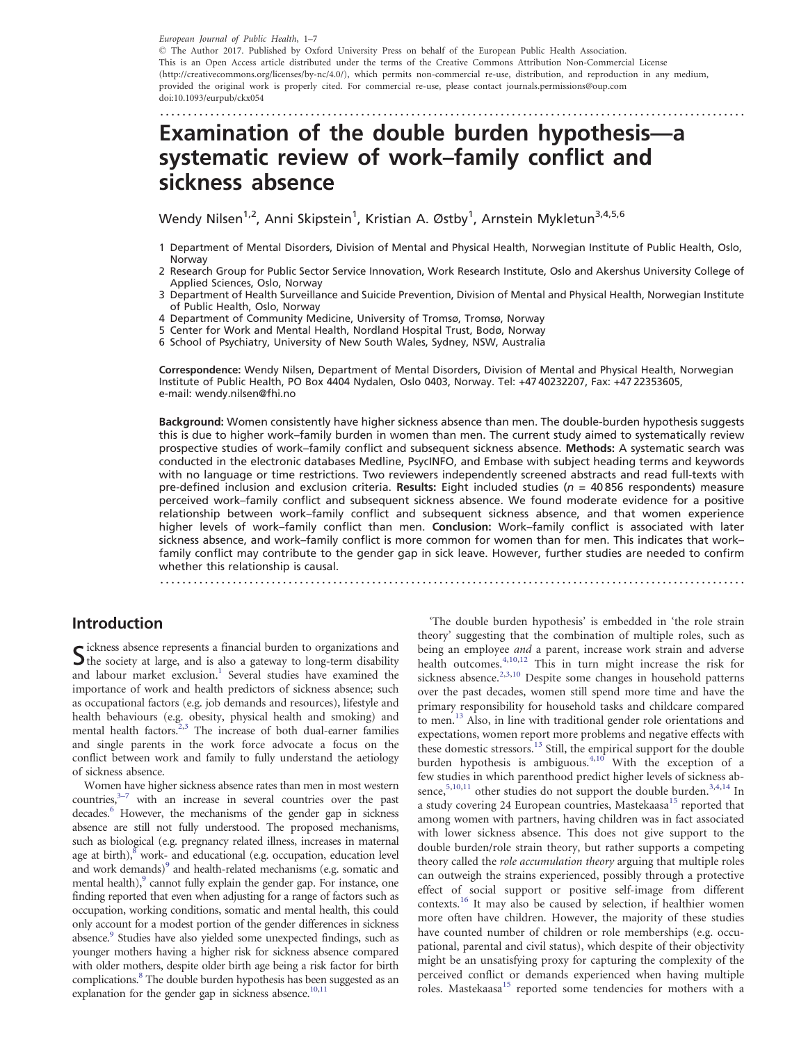European Journal of Public Health, 1–7

- The Author 2017. Published by Oxford University Press on behalf of the European Public Health Association. This is an Open Access article distributed under the terms of the Creative Commons Attribution Non-Commercial License [\(http://creativecommons.org/licenses/by-nc/4.0/\)](http://creativecommons.org/licenses/by-nc/4.0/), which permits non-commercial re-use, distribution, and reproduction in any medium, provided the original work is properly cited. For commercial re-use, please contact journals.permissions@oup.com doi:10.1093/eurpub/ckx054

.........................................................................................................

# Examination of the double burden hypothesis—a systematic review of work–family conflict and sickness absence

Wendy Nilsen<sup>1,2</sup>, Anni Skipstein<sup>1</sup>, Kristian A. Østby<sup>1</sup>, Arnstein Mykletun<sup>3,4,5,6</sup>

- 1 Department of Mental Disorders, Division of Mental and Physical Health, Norwegian Institute of Public Health, Oslo, Norway
- 2 Research Group for Public Sector Service Innovation, Work Research Institute, Oslo and Akershus University College of Applied Sciences, Oslo, Norway
- 3 Department of Health Surveillance and Suicide Prevention, Division of Mental and Physical Health, Norwegian Institute of Public Health, Oslo, Norway
- 4 Department of Community Medicine, University of Tromsø, Tromsø, Norway
- 5 Center for Work and Mental Health, Nordland Hospital Trust, Bodø, Norway

6 School of Psychiatry, University of New South Wales, Sydney, NSW, Australia

Correspondence: Wendy Nilsen, Department of Mental Disorders, Division of Mental and Physical Health, Norwegian Institute of Public Health, PO Box 4404 Nydalen, Oslo 0403, Norway. Tel: +47 40232207, Fax: +47 22353605, e-mail: wendy.nilsen@fhi.no

Background: Women consistently have higher sickness absence than men. The double-burden hypothesis suggests this is due to higher work–family burden in women than men. The current study aimed to systematically review prospective studies of work–family conflict and subsequent sickness absence. Methods: A systematic search was conducted in the electronic databases Medline, PsycINFO, and Embase with subject heading terms and keywords with no language or time restrictions. Two reviewers independently screened abstracts and read full-texts with pre-defined inclusion and exclusion criteria. Results: Eight included studies ( $n = 40856$  respondents) measure perceived work–family conflict and subsequent sickness absence. We found moderate evidence for a positive relationship between work–family conflict and subsequent sickness absence, and that women experience higher levels of work–family conflict than men. Conclusion: Work–family conflict is associated with later sickness absence, and work–family conflict is more common for women than for men. This indicates that work– family conflict may contribute to the gender gap in sick leave. However, further studies are needed to confirm whether this relationship is causal.

.........................................................................................................

## Introduction

Sickness absence represents a financial burden to organizations and the society at large, and is also a gateway to long-term disability and labour market exclusion.<sup>1</sup> Several studies have examined the importance of work and health predictors of sickness absence; such as occupational factors (e.g. job demands and resources), lifestyle and health behaviours (e.g. obesity, physical health and smoking) and mental health factors.<sup>2,[3](#page-6-0)</sup> The increase of both dual-earner families and single parents in the work force advocate a focus on the conflict between work and family to fully understand the aetiology of sickness absence.

Women have higher sickness absence rates than men in most western countries,<sup>3-7</sup> with an increase in several countries over the past decades.<sup>6</sup> However, the mechanisms of the gender gap in sickness absence are still not fully understood. The proposed mechanisms, such as biological (e.g. pregnancy related illness, increases in maternal age at birth), $8$  work- and educational (e.g. occupation, education level and work demands)<sup>9</sup> and health-related mechanisms (e.g. somatic and mental health), $\frac{9}{2}$  $\frac{9}{2}$  $\frac{9}{2}$  cannot fully explain the gender gap. For instance, one finding reported that even when adjusting for a range of factors such as occupation, working conditions, somatic and mental health, this could only account for a modest portion of the gender differences in sickness absence.<sup>9</sup> Studies have also yielded some unexpected findings, such as younger mothers having a higher risk for sickness absence compared with older mothers, despite older birth age being a risk factor for birth complications.<sup>8</sup> The double burden hypothesis has been suggested as an explanation for the gender gap in sickness absence.<sup>[10,11](#page-6-0)</sup>

'The double burden hypothesis' is embedded in 'the role strain theory' suggesting that the combination of multiple roles, such as being an employee and a parent, increase work strain and adverse health outcomes. $4,10,12$  $4,10,12$  $4,10,12$  $4,10,12$  $4,10,12$  This in turn might increase the risk for sickness absence.<sup>[2,3,10](#page-6-0)</sup> Despite some changes in household patterns over the past decades, women still spend more time and have the primary responsibility for household tasks and childcare compared to men.[13](#page-6-0) Also, in line with traditional gender role orientations and expectations, women report more problems and negative effects with these domestic stressors.[13](#page-6-0) Still, the empirical support for the double burden hypothesis is ambiguous.<sup>[4](#page-6-0),[10](#page-6-0)</sup> With the exception of a few studies in which parenthood predict higher levels of sickness absence, $5,10,11$  $5,10,11$  $5,10,11$  $5,10,11$  $5,10,11$  other studies do not support the double burden. $3,4,14$  In a study covering 24 European countries, Mastekaasa<sup>[15](#page-6-0)</sup> reported that among women with partners, having children was in fact associated with lower sickness absence. This does not give support to the double burden/role strain theory, but rather supports a competing theory called the role accumulation theory arguing that multiple roles can outweigh the strains experienced, possibly through a protective effect of social support or positive self-image from different contexts.[16](#page-6-0) It may also be caused by selection, if healthier women more often have children. However, the majority of these studies have counted number of children or role memberships (e.g. occupational, parental and civil status), which despite of their objectivity might be an unsatisfying proxy for capturing the complexity of the perceived conflict or demands experienced when having multiple roles. Mastekaasa<sup>[15](#page-6-0)</sup> reported some tendencies for mothers with a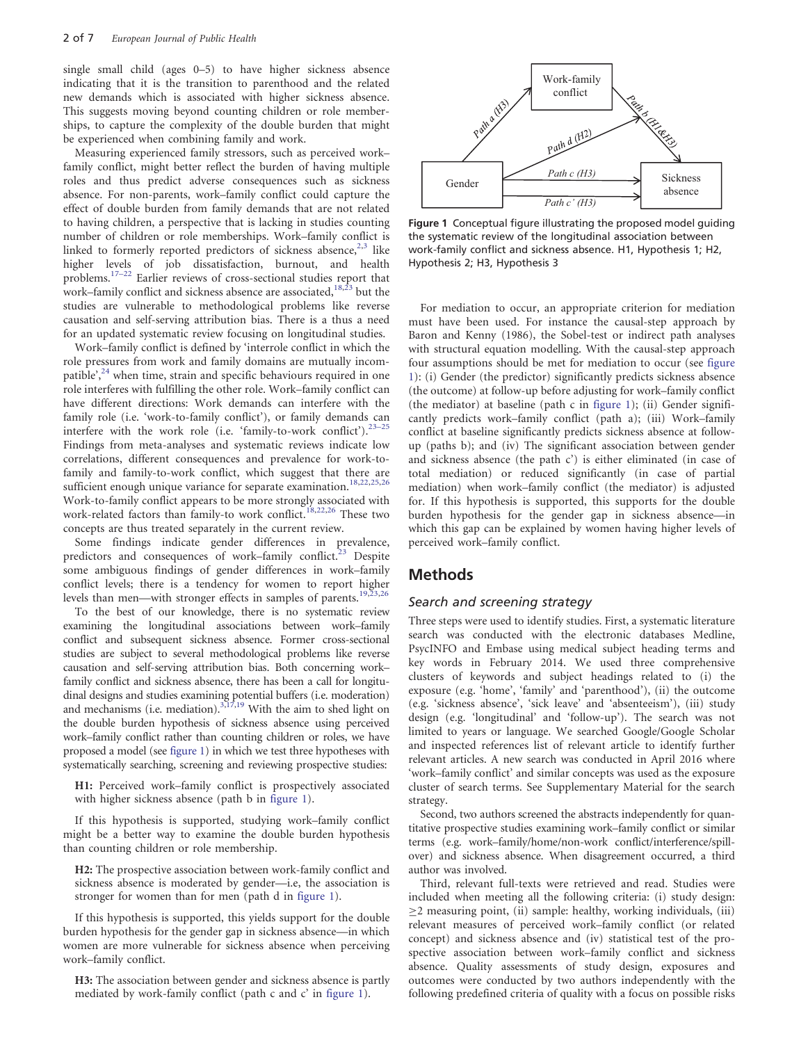single small child (ages 0–5) to have higher sickness absence indicating that it is the transition to parenthood and the related new demands which is associated with higher sickness absence. This suggests moving beyond counting children or role memberships, to capture the complexity of the double burden that might be experienced when combining family and work.

Measuring experienced family stressors, such as perceived work– family conflict, might better reflect the burden of having multiple roles and thus predict adverse consequences such as sickness absence. For non-parents, work–family conflict could capture the effect of double burden from family demands that are not related to having children, a perspective that is lacking in studies counting number of children or role memberships. Work–family conflict is linked to formerly reported predictors of sickness absence,  $2,3$  like higher levels of job dissatisfaction, burnout, and health problems.[17–22](#page-6-0) Earlier reviews of cross-sectional studies report that work–family conflict and sickness absence are associated,  $18,23$  but the studies are vulnerable to methodological problems like reverse causation and self-serving attribution bias. There is a thus a need for an updated systematic review focusing on longitudinal studies.

Work–family conflict is defined by 'interrole conflict in which the role pressures from work and family domains are mutually incom-patible',<sup>[24](#page-6-0)</sup> when time, strain and specific behaviours required in one role interferes with fulfilling the other role. Work–family conflict can have different directions: Work demands can interfere with the family role (i.e. 'work-to-family conflict'), or family demands can interfere with the work role (i.e. 'family-to-work conflict').<sup>23-25</sup> Findings from meta-analyses and systematic reviews indicate low correlations, different consequences and prevalence for work-tofamily and family-to-work conflict, which suggest that there are sufficient enough unique variance for separate examination.<sup>[18](#page-6-0),[22](#page-6-0),[25,26](#page-6-0)</sup> Work-to-family conflict appears to be more strongly associated with work-related factors than family-to work conflict.<sup>[18,22,26](#page-6-0)</sup> These two concepts are thus treated separately in the current review.

Some findings indicate gender differences in prevalence, predictors and consequences of work–family conflict.<sup>[23](#page-6-0)</sup> Despite some ambiguous findings of gender differences in work–family conflict levels; there is a tendency for women to report higher levels than men—with stronger effects in samples of parents.<sup>19,2</sup>

To the best of our knowledge, there is no systematic review examining the longitudinal associations between work–family conflict and subsequent sickness absence. Former cross-sectional studies are subject to several methodological problems like reverse causation and self-serving attribution bias. Both concerning work– family conflict and sickness absence, there has been a call for longitudinal designs and studies examining potential buffers (i.e. moderation) and mechanisms (i.e. mediation).<sup>3,17,19</sup> With the aim to shed light on the double burden hypothesis of sickness absence using perceived work–family conflict rather than counting children or roles, we have proposed a model (see figure 1) in which we test three hypotheses with systematically searching, screening and reviewing prospective studies:

H1: Perceived work–family conflict is prospectively associated with higher sickness absence (path b in figure 1).

If this hypothesis is supported, studying work–family conflict might be a better way to examine the double burden hypothesis than counting children or role membership.

H2: The prospective association between work-family conflict and sickness absence is moderated by gender—i.e, the association is stronger for women than for men (path d in figure 1).

If this hypothesis is supported, this yields support for the double burden hypothesis for the gender gap in sickness absence—in which women are more vulnerable for sickness absence when perceiving work–family conflict.

H3: The association between gender and sickness absence is partly mediated by work-family conflict (path c and c' in figure 1).



Figure 1 Conceptual figure illustrating the proposed model guiding the systematic review of the longitudinal association between work-family conflict and sickness absence. H1, Hypothesis 1; H2, Hypothesis 2; H3, Hypothesis 3

For mediation to occur, an appropriate criterion for mediation must have been used. For instance the causal-step approach by Baron and Kenny (1986), the Sobel-test or indirect path analyses with structural equation modelling. With the causal-step approach four assumptions should be met for mediation to occur (see figure 1): (i) Gender (the predictor) significantly predicts sickness absence (the outcome) at follow-up before adjusting for work–family conflict (the mediator) at baseline (path c in figure 1); (ii) Gender significantly predicts work–family conflict (path a); (iii) Work–family conflict at baseline significantly predicts sickness absence at followup (paths b); and (iv) The significant association between gender and sickness absence (the path c') is either eliminated (in case of total mediation) or reduced significantly (in case of partial mediation) when work–family conflict (the mediator) is adjusted for. If this hypothesis is supported, this supports for the double burden hypothesis for the gender gap in sickness absence—in which this gap can be explained by women having higher levels of perceived work–family conflict.

#### Methods

#### Search and screening strategy

Three steps were used to identify studies. First, a systematic literature search was conducted with the electronic databases Medline, PsycINFO and Embase using medical subject heading terms and key words in February 2014. We used three comprehensive clusters of keywords and subject headings related to (i) the exposure (e.g. 'home', 'family' and 'parenthood'), (ii) the outcome (e.g. 'sickness absence', 'sick leave' and 'absenteeism'), (iii) study design (e.g. 'longitudinal' and 'follow-up'). The search was not limited to years or language. We searched Google/Google Scholar and inspected references list of relevant article to identify further relevant articles. A new search was conducted in April 2016 where 'work–family conflict' and similar concepts was used as the exposure cluster of search terms. See Supplementary Material for the search strategy.

Second, two authors screened the abstracts independently for quantitative prospective studies examining work–family conflict or similar terms (e.g. work–family/home/non-work conflict/interference/spillover) and sickness absence. When disagreement occurred, a third author was involved.

Third, relevant full-texts were retrieved and read. Studies were included when meeting all the following criteria: (i) study design:  $\geq$ 2 measuring point, (ii) sample: healthy, working individuals, (iii) relevant measures of perceived work–family conflict (or related concept) and sickness absence and (iv) statistical test of the prospective association between work–family conflict and sickness absence. Quality assessments of study design, exposures and outcomes were conducted by two authors independently with the following predefined criteria of quality with a focus on possible risks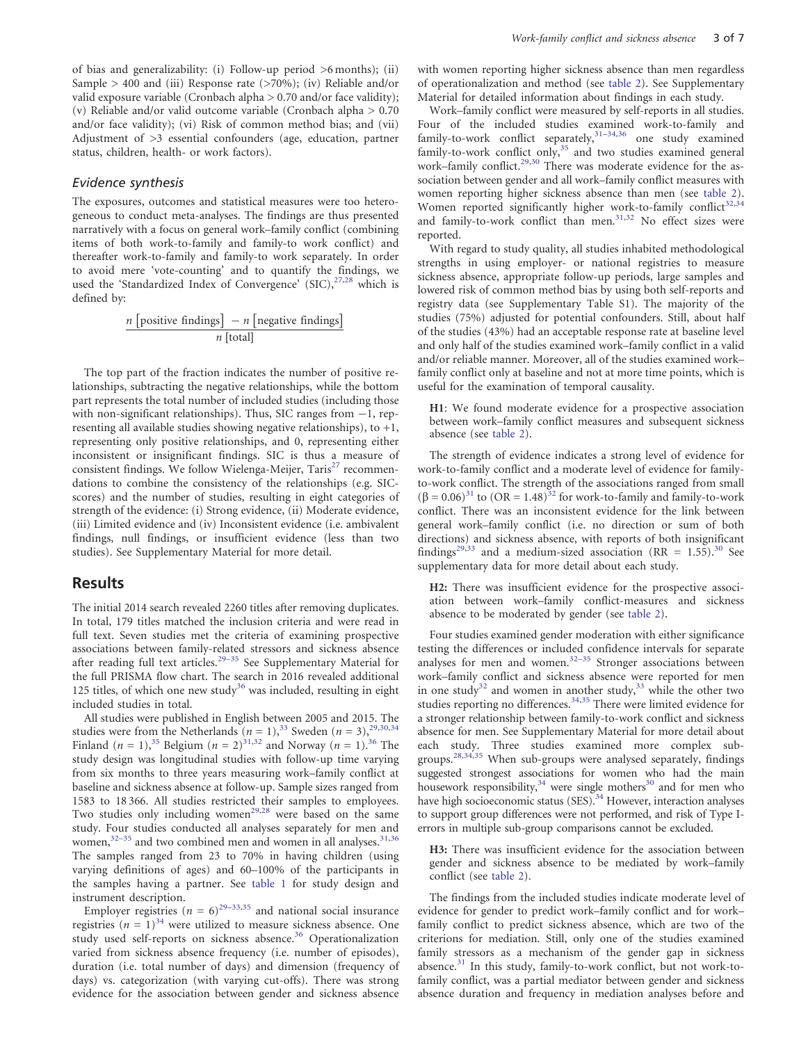of bias and generalizability: (i) Follow-up period >6 months); (ii) Sample  $> 400$  and (iii) Response rate ( $>70\%$ ); (iv) Reliable and/or valid exposure variable (Cronbach alpha > 0.70 and/or face validity); (v) Reliable and/or valid outcome variable (Cronbach alpha > 0.70 and/or face validity); (vi) Risk of common method bias; and (vii) Adjustment of >3 essential confounders (age, education, partner status, children, health- or work factors).

#### Evidence synthesis

The exposures, outcomes and statistical measures were too heterogeneous to conduct meta-analyses. The findings are thus presented narratively with a focus on general work–family conflict (combining items of both work-to-family and family-to work conflict) and thereafter work-to-family and family-to work separately. In order to avoid mere 'vote-counting' and to quantify the findings, we used the 'Standardized Index of Convergence' (SIC), $27,28$  which is defined by:

$$
\frac{n \left[ positive \text{ findings}\right] - n \left[negative \text{ findings}\right]}{n \left[total\right]}
$$

The top part of the fraction indicates the number of positive relationships, subtracting the negative relationships, while the bottom part represents the total number of included studies (including those with non-significant relationships). Thus, SIC ranges from  $-1$ , representing all available studies showing negative relationships), to +1, representing only positive relationships, and 0, representing either inconsistent or insignificant findings. SIC is thus a measure of consistent findings. We follow Wielenga-Meijer,  $Taris^{27}$  $Taris^{27}$  $Taris^{27}$  recommendations to combine the consistency of the relationships (e.g. SICscores) and the number of studies, resulting in eight categories of strength of the evidence: (i) Strong evidence, (ii) Moderate evidence, (iii) Limited evidence and (iv) Inconsistent evidence (i.e. ambivalent findings, null findings, or insufficient evidence (less than two studies). See Supplementary Material for more detail.

#### Results

The initial 2014 search revealed 2260 titles after removing duplicates. In total, 179 titles matched the inclusion criteria and were read in full text. Seven studies met the criteria of examining prospective associations between family-related stressors and sickness absence after reading full text articles.<sup>29-35</sup> See Supplementary Material for the full PRISMA flow chart. The search in 2016 revealed additional 125 titles, of which one new study<sup>[36](#page-6-0)</sup> was included, resulting in eight included studies in total.

All studies were published in English between 2005 and 2015. The studies were from the Netherlands ( $n = 1$ ),<sup>[33](#page-6-0)</sup> Sweden ( $n = 3$ ),<sup>[29](#page-6-0),[30,34](#page-6-0)</sup> Finland ( $n = 1$ ),<sup>[35](#page-6-0)</sup> Belgium ( $n = 2$ )<sup>31,32</sup> and Norway ( $n = 1$ ).<sup>[36](#page-6-0)</sup> The study design was longitudinal studies with follow-up time varying from six months to three years measuring work–family conflict at baseline and sickness absence at follow-up. Sample sizes ranged from 1583 to 18 366. All studies restricted their samples to employees. Two studies only including women<sup>[29,28](#page-6-0)</sup> were based on the same study. Four studies conducted all analyses separately for men and women, $32-35$  and two combined men and women in all analyses. $31,36$ The samples ranged from 23 to 70% in having children (using varying definitions of ages) and 60–100% of the participants in the samples having a partner. See [table 1](#page-3-0) for study design and instrument description.

Employer registries  $(n = 6)^{29-33,35}$  $(n = 6)^{29-33,35}$  $(n = 6)^{29-33,35}$  $(n = 6)^{29-33,35}$  $(n = 6)^{29-33,35}$  and national social insurance registries  $(n = 1)^{34}$  $(n = 1)^{34}$  $(n = 1)^{34}$  were utilized to measure sickness absence. One study used self-reports on sickness absence.<sup>[36](#page-6-0)</sup> Operationalization varied from sickness absence frequency (i.e. number of episodes), duration (i.e. total number of days) and dimension (frequency of days) vs. categorization (with varying cut-offs). There was strong evidence for the association between gender and sickness absence with women reporting higher sickness absence than men regardless of operationalization and method (see [table 2](#page-4-0)). See Supplementary Material for detailed information about findings in each study.

Work–family conflict were measured by self-reports in all studies. Four of the included studies examined work-to-family and family-to-work conflict separately,  $31-34,36$  one study examined family-to-work conflict only,<sup>[35](#page-6-0)</sup> and two studies examined general work–family conflict.<sup>[29](#page-6-0),[30](#page-6-0)</sup> There was moderate evidence for the association between gender and all work–family conflict measures with women reporting higher sickness absence than men (see [table 2\)](#page-4-0). Women reported significantly higher work-to-family conflict<sup>[32](#page-6-0),[34](#page-6-0)</sup> and family-to-work conflict than men.<sup>[31,32](#page-6-0)</sup> No effect sizes were reported.

With regard to study quality, all studies inhabited methodological strengths in using employer- or national registries to measure sickness absence, appropriate follow-up periods, large samples and lowered risk of common method bias by using both self-reports and registry data (see Supplementary Table S1). The majority of the studies (75%) adjusted for potential confounders. Still, about half of the studies (43%) had an acceptable response rate at baseline level and only half of the studies examined work–family conflict in a valid and/or reliable manner. Moreover, all of the studies examined work– family conflict only at baseline and not at more time points, which is useful for the examination of temporal causality.

H1: We found moderate evidence for a prospective association between work–family conflict measures and subsequent sickness absence (see [table 2\)](#page-4-0).

The strength of evidence indicates a strong level of evidence for work-to-family conflict and a moderate level of evidence for familyto-work conflict. The strength of the associations ranged from small  $(\beta = 0.06)^{31}$  to  $(OR = 1.48)^{32}$  $(OR = 1.48)^{32}$  $(OR = 1.48)^{32}$  for work-to-family and family-to-work conflict. There was an inconsistent evidence for the link between general work–family conflict (i.e. no direction or sum of both directions) and sickness absence, with reports of both insignificant findings<sup>[29](#page-6-0),[33](#page-6-0)</sup> and a medium-sized association (RR = 1.55).<sup>[30](#page-6-0)</sup> See supplementary data for more detail about each study.

H2: There was insufficient evidence for the prospective association between work–family conflict-measures and sickness absence to be moderated by gender (see [table 2\)](#page-4-0).

Four studies examined gender moderation with either significance testing the differences or included confidence intervals for separate analyses for men and women. $32-35$  Stronger associations between work–family conflict and sickness absence were reported for men in one study<sup>[32](#page-6-0)</sup> and women in another study,<sup>[33](#page-6-0)</sup> while the other two studies reporting no differences.<sup>[34](#page-6-0),[35](#page-6-0)</sup> There were limited evidence for a stronger relationship between family-to-work conflict and sickness absence for men. See Supplementary Material for more detail about each study. Three studies examined more complex sub-groups.<sup>[28](#page-6-0),[34](#page-6-0),[35](#page-6-0)</sup> When sub-groups were analysed separately, findings suggested strongest associations for women who had the main housework responsibility, $34$  were single mothers $30$  and for men who have high socioeconomic status (SES).<sup>34</sup> However, interaction analyses to support group differences were not performed, and risk of Type Ierrors in multiple sub-group comparisons cannot be excluded.

H3: There was insufficient evidence for the association between gender and sickness absence to be mediated by work–family conflict (see [table 2](#page-4-0)).

The findings from the included studies indicate moderate level of evidence for gender to predict work–family conflict and for work– family conflict to predict sickness absence, which are two of the criterions for mediation. Still, only one of the studies examined family stressors as a mechanism of the gender gap in sickness absence.<sup>[31](#page-6-0)</sup> In this study, family-to-work conflict, but not work-tofamily conflict, was a partial mediator between gender and sickness absence duration and frequency in mediation analyses before and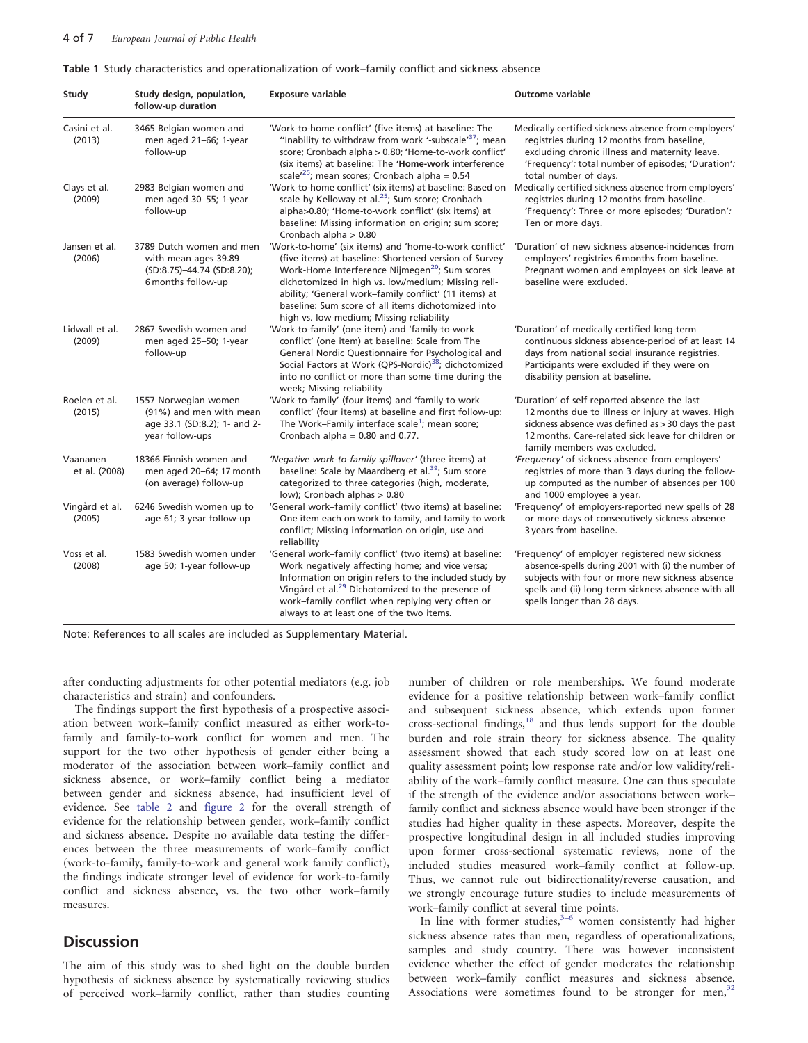<span id="page-3-0"></span>

| Study                     | Study design, population,<br>follow-up duration                                                      | <b>Exposure variable</b>                                                                                                                                                                                                                                                                                                                                                                       | <b>Outcome variable</b>                                                                                                                                                                                                                       |
|---------------------------|------------------------------------------------------------------------------------------------------|------------------------------------------------------------------------------------------------------------------------------------------------------------------------------------------------------------------------------------------------------------------------------------------------------------------------------------------------------------------------------------------------|-----------------------------------------------------------------------------------------------------------------------------------------------------------------------------------------------------------------------------------------------|
| Casini et al.<br>(2013)   | 3465 Belgian women and<br>men aged 21-66; 1-year<br>follow-up                                        | 'Work-to-home conflict' (five items) at baseline: The<br>"Inability to withdraw from work '-subscale' <sup>37</sup> ; mean<br>score; Cronbach alpha > 0.80; 'Home-to-work conflict'<br>(six items) at baseline: The 'Home-work interference<br>scale <sup><math>25</math></sup> ; mean scores; Cronbach alpha = 0.54                                                                           | Medically certified sickness absence from employers'<br>registries during 12 months from baseline,<br>excluding chronic illness and maternity leave.<br>'Frequency': total number of episodes; 'Duration':<br>total number of days.           |
| Clays et al.<br>(2009)    | 2983 Belgian women and<br>men aged 30-55; 1-year<br>follow-up                                        | 'Work-to-home conflict' (six items) at baseline: Based on<br>scale by Kelloway et al. <sup>25</sup> ; Sum score; Cronbach<br>alpha>0.80; 'Home-to-work conflict' (six items) at<br>baseline: Missing information on origin; sum score;<br>Cronbach alpha > 0.80                                                                                                                                | Medically certified sickness absence from employers'<br>registries during 12 months from baseline.<br>'Frequency': Three or more episodes; 'Duration':<br>Ten or more days.                                                                   |
| Jansen et al.<br>(2006)   | 3789 Dutch women and men<br>with mean ages 39.89<br>(SD:8.75)-44.74 (SD:8.20);<br>6 months follow-up | 'Work-to-home' (six items) and 'home-to-work conflict'<br>(five items) at baseline: Shortened version of Survey<br>Work-Home Interference Nijmegen <sup>20</sup> ; Sum scores<br>dichotomized in high vs. low/medium; Missing reli-<br>ability; 'General work-family conflict' (11 items) at<br>baseline: Sum score of all items dichotomized into<br>high vs. low-medium; Missing reliability | 'Duration' of new sickness absence-incidences from<br>employers' registries 6 months from baseline.<br>Pregnant women and employees on sick leave at<br>baseline were excluded.                                                               |
| Lidwall et al.<br>(2009)  | 2867 Swedish women and<br>men aged 25-50; 1-year<br>follow-up                                        | 'Work-to-family' (one item) and 'family-to-work<br>conflict' (one item) at baseline: Scale from The<br>General Nordic Questionnaire for Psychological and<br>Social Factors at Work (QPS-Nordic) <sup>38</sup> ; dichotomized<br>into no conflict or more than some time during the<br>week; Missing reliability                                                                               | 'Duration' of medically certified long-term<br>continuous sickness absence-period of at least 14<br>days from national social insurance registries.<br>Participants were excluded if they were on<br>disability pension at baseline.          |
| Roelen et al.<br>(2015)   | 1557 Norwegian women<br>(91%) and men with mean<br>age 33.1 (SD:8.2); 1- and 2-<br>year follow-ups   | 'Work-to-family' (four items) and 'family-to-work<br>conflict' (four items) at baseline and first follow-up:<br>The Work-Family interface scale <sup>1</sup> ; mean score;<br>Cronbach alpha = $0.80$ and $0.77$ .                                                                                                                                                                             | 'Duration' of self-reported absence the last<br>12 months due to illness or injury at waves. High<br>sickness absence was defined as > 30 days the past<br>12 months. Care-related sick leave for children or<br>family members was excluded. |
| Vaananen<br>et al. (2008) | 18366 Finnish women and<br>men aged 20-64; 17 month<br>(on average) follow-up                        | 'Negative work-to-family spillover' (three items) at<br>baseline: Scale by Maardberg et al. <sup>39</sup> ; Sum score<br>categorized to three categories (high, moderate,<br>low); Cronbach alphas > 0.80                                                                                                                                                                                      | 'Frequency' of sickness absence from employers'<br>registries of more than 3 days during the follow-<br>up computed as the number of absences per 100<br>and 1000 employee a year.                                                            |
| Vingård et al.<br>(2005)  | 6246 Swedish women up to<br>age 61; 3-year follow-up                                                 | 'General work-family conflict' (two items) at baseline:<br>One item each on work to family, and family to work<br>conflict; Missing information on origin, use and<br>reliability                                                                                                                                                                                                              | 'Frequency' of employers-reported new spells of 28<br>or more days of consecutively sickness absence<br>3 years from baseline.                                                                                                                |
| Voss et al.<br>(2008)     | 1583 Swedish women under<br>age 50; 1-year follow-up                                                 | 'General work-family conflict' (two items) at baseline:<br>Work negatively affecting home; and vice versa;<br>Information on origin refers to the included study by<br>Vingård et al. <sup>29</sup> Dichotomized to the presence of<br>work-family conflict when replying very often or<br>always to at least one of the two items.                                                            | 'Frequency' of employer registered new sickness<br>absence-spells during 2001 with (i) the number of<br>subjects with four or more new sickness absence<br>spells and (ii) long-term sickness absence with all<br>spells longer than 28 days. |

Note: References to all scales are included as Supplementary Material.

after conducting adjustments for other potential mediators (e.g. job characteristics and strain) and confounders.

The findings support the first hypothesis of a prospective association between work–family conflict measured as either work-tofamily and family-to-work conflict for women and men. The support for the two other hypothesis of gender either being a moderator of the association between work–family conflict and sickness absence, or work–family conflict being a mediator between gender and sickness absence, had insufficient level of evidence. See [table 2](#page-4-0) and [figure 2](#page-4-0) for the overall strength of evidence for the relationship between gender, work–family conflict and sickness absence. Despite no available data testing the differences between the three measurements of work–family conflict (work-to-family, family-to-work and general work family conflict), the findings indicate stronger level of evidence for work-to-family conflict and sickness absence, vs. the two other work–family measures.

## **Discussion**

The aim of this study was to shed light on the double burden hypothesis of sickness absence by systematically reviewing studies of perceived work–family conflict, rather than studies counting number of children or role memberships. We found moderate evidence for a positive relationship between work–family conflict and subsequent sickness absence, which extends upon former cross-sectional findings,<sup>[18](#page-6-0)</sup> and thus lends support for the double burden and role strain theory for sickness absence. The quality assessment showed that each study scored low on at least one quality assessment point; low response rate and/or low validity/reliability of the work–family conflict measure. One can thus speculate if the strength of the evidence and/or associations between work– family conflict and sickness absence would have been stronger if the studies had higher quality in these aspects. Moreover, despite the prospective longitudinal design in all included studies improving upon former cross-sectional systematic reviews, none of the included studies measured work–family conflict at follow-up. Thus, we cannot rule out bidirectionality/reverse causation, and we strongly encourage future studies to include measurements of work–family conflict at several time points.

In line with former studies, $3-6$  women consistently had higher sickness absence rates than men, regardless of operationalizations, samples and study country. There was however inconsistent evidence whether the effect of gender moderates the relationship between work–family conflict measures and sickness absence. Associations were sometimes found to be stronger for men,<sup>[32](#page-6-0)</sup>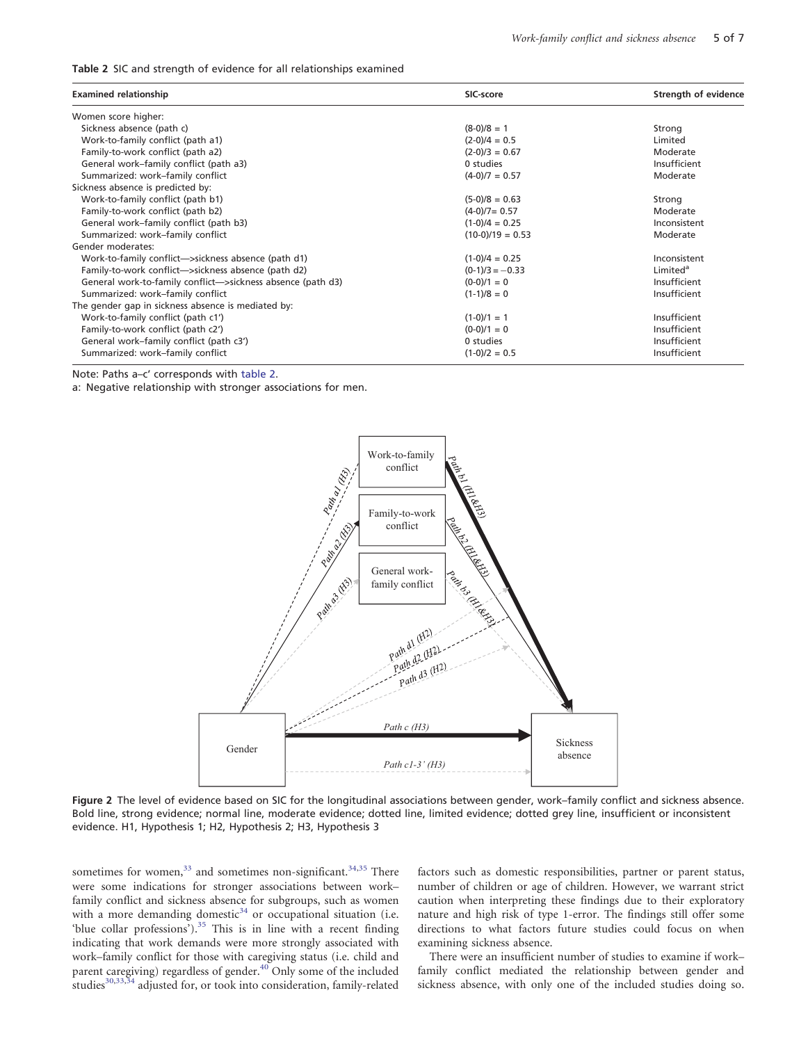<span id="page-4-0"></span>Table 2 SIC and strength of evidence for all relationships examined

| <b>Examined relationship</b>                                | SIC-score          | <b>Strength of evidence</b> |
|-------------------------------------------------------------|--------------------|-----------------------------|
| Women score higher:                                         |                    |                             |
| Sickness absence (path c)                                   | $(8-0)/8 = 1$      | Strong                      |
| Work-to-family conflict (path a1)                           | $(2-0)/4 = 0.5$    | Limited                     |
| Family-to-work conflict (path a2)                           | $(2-0)/3 = 0.67$   | Moderate                    |
| General work-family conflict (path a3)                      | 0 studies          | Insufficient                |
| Summarized: work-family conflict                            | $(4-0)/7 = 0.57$   | Moderate                    |
| Sickness absence is predicted by:                           |                    |                             |
| Work-to-family conflict (path b1)                           | $(5-0)/8 = 0.63$   | Strong                      |
| Family-to-work conflict (path b2)                           | $(4-0)/7=0.57$     | Moderate                    |
| General work-family conflict (path b3)                      | $(1-0)/4 = 0.25$   | Inconsistent                |
| Summarized: work-family conflict                            | $(10-0)/19 = 0.53$ | Moderate                    |
| Gender moderates:                                           |                    |                             |
| Work-to-family conflict->sickness absence (path d1)         | $(1-0)/4 = 0.25$   | Inconsistent                |
| Family-to-work conflict->sickness absence (path d2)         | $(0-1)/3 = -0.33$  | Limited <sup>a</sup>        |
| General work-to-family conflict->sickness absence (path d3) | $(0-0)/1 = 0$      | Insufficient                |
| Summarized: work-family conflict                            | $(1-1)/8 = 0$      | Insufficient                |
| The gender gap in sickness absence is mediated by:          |                    |                             |
| Work-to-family conflict (path c1')                          | $(1-0)/1 = 1$      | Insufficient                |
| Family-to-work conflict (path c2')                          | $(0-0)/1 = 0$      | Insufficient                |
| General work-family conflict (path c3')                     | 0 studies          | Insufficient                |
| Summarized: work-family conflict                            | $(1-0)/2 = 0.5$    | Insufficient                |

Note: Paths a–c' corresponds with table 2.

a: Negative relationship with stronger associations for men.



Figure 2 The level of evidence based on SIC for the longitudinal associations between gender, work–family conflict and sickness absence. Bold line, strong evidence; normal line, moderate evidence; dotted line, limited evidence; dotted grey line, insufficient or inconsistent evidence. H1, Hypothesis 1; H2, Hypothesis 2; H3, Hypothesis 3

sometimes for women, $33$  and sometimes non-significant. $34,35$  $34,35$  $34,35$  There were some indications for stronger associations between work– family conflict and sickness absence for subgroups, such as women with a more demanding domestic $34$  or occupational situation (i.e. 'blue collar professions'). $35$  This is in line with a recent finding indicating that work demands were more strongly associated with work–family conflict for those with caregiving status (i.e. child and parent caregiving) regardless of gender.<sup>[40](#page-6-0)</sup> Only some of the included studies $30,33,34$  $30,33,34$  $30,33,34$  $30,33,34$  $30,33,34$  adjusted for, or took into consideration, family-related

factors such as domestic responsibilities, partner or parent status, number of children or age of children. However, we warrant strict caution when interpreting these findings due to their exploratory nature and high risk of type 1-error. The findings still offer some directions to what factors future studies could focus on when examining sickness absence.

There were an insufficient number of studies to examine if work– family conflict mediated the relationship between gender and sickness absence, with only one of the included studies doing so.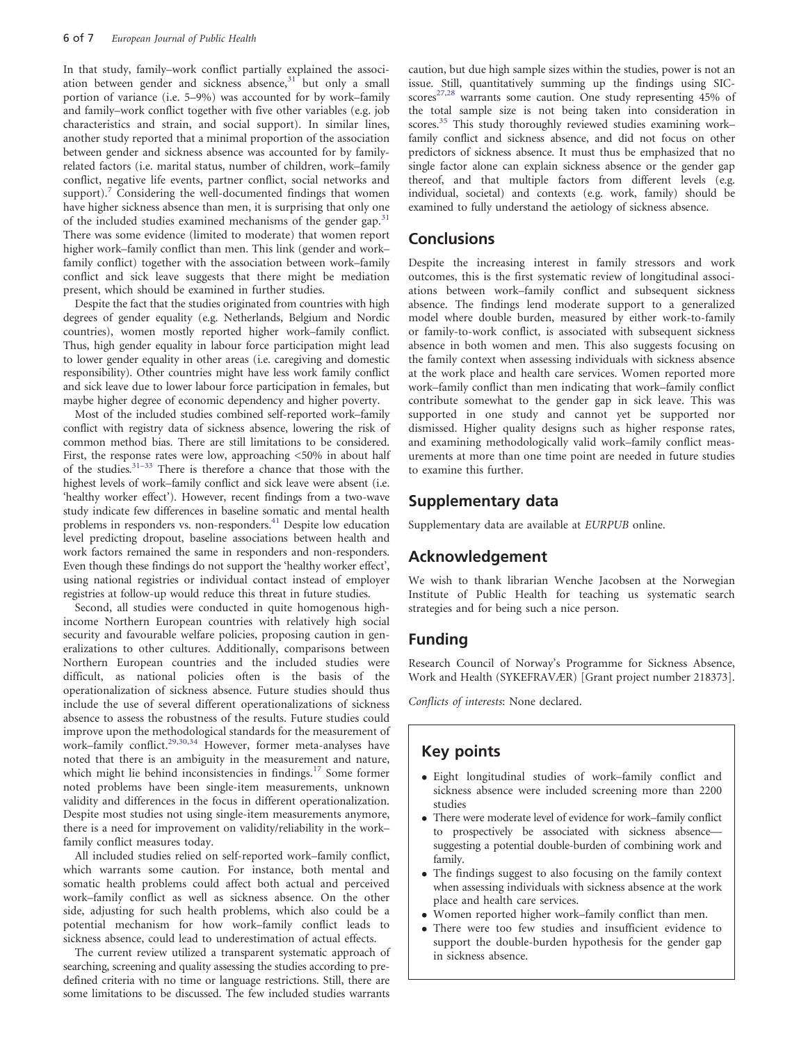In that study, family–work conflict partially explained the association between gender and sickness absence, $31$  but only a small portion of variance (i.e. 5–9%) was accounted for by work–family and family–work conflict together with five other variables (e.g. job characteristics and strain, and social support). In similar lines, another study reported that a minimal proportion of the association between gender and sickness absence was accounted for by familyrelated factors (i.e. marital status, number of children, work–family conflict, negative life events, partner conflict, social networks and support). $\frac{7}{7}$  $\frac{7}{7}$  $\frac{7}{7}$  Considering the well-documented findings that women have higher sickness absence than men, it is surprising that only one of the included studies examined mechanisms of the gender gap.<sup>3</sup> There was some evidence (limited to moderate) that women report higher work–family conflict than men. This link (gender and work– family conflict) together with the association between work–family conflict and sick leave suggests that there might be mediation present, which should be examined in further studies.

Despite the fact that the studies originated from countries with high degrees of gender equality (e.g. Netherlands, Belgium and Nordic countries), women mostly reported higher work–family conflict. Thus, high gender equality in labour force participation might lead to lower gender equality in other areas (i.e. caregiving and domestic responsibility). Other countries might have less work family conflict and sick leave due to lower labour force participation in females, but maybe higher degree of economic dependency and higher poverty.

Most of the included studies combined self-reported work–family conflict with registry data of sickness absence, lowering the risk of common method bias. There are still limitations to be considered. First, the response rates were low, approaching <50% in about half of the studies[.31–33](#page-6-0) There is therefore a chance that those with the highest levels of work–family conflict and sick leave were absent (i.e. 'healthy worker effect'). However, recent findings from a two-wave study indicate few differences in baseline somatic and mental health problems in responders vs. non-responders.[41](#page-6-0) Despite low education level predicting dropout, baseline associations between health and work factors remained the same in responders and non-responders. Even though these findings do not support the 'healthy worker effect', using national registries or individual contact instead of employer registries at follow-up would reduce this threat in future studies.

Second, all studies were conducted in quite homogenous highincome Northern European countries with relatively high social security and favourable welfare policies, proposing caution in generalizations to other cultures. Additionally, comparisons between Northern European countries and the included studies were difficult, as national policies often is the basis of the operationalization of sickness absence. Future studies should thus include the use of several different operationalizations of sickness absence to assess the robustness of the results. Future studies could improve upon the methodological standards for the measurement of work–family conflict.<sup>[29,30,34](#page-6-0)</sup> However, former meta-analyses have noted that there is an ambiguity in the measurement and nature, which might lie behind inconsistencies in findings.<sup>[17](#page-6-0)</sup> Some former noted problems have been single-item measurements, unknown validity and differences in the focus in different operationalization. Despite most studies not using single-item measurements anymore, there is a need for improvement on validity/reliability in the work– family conflict measures today.

All included studies relied on self-reported work–family conflict, which warrants some caution. For instance, both mental and somatic health problems could affect both actual and perceived work–family conflict as well as sickness absence. On the other side, adjusting for such health problems, which also could be a potential mechanism for how work–family conflict leads to sickness absence, could lead to underestimation of actual effects.

The current review utilized a transparent systematic approach of searching, screening and quality assessing the studies according to predefined criteria with no time or language restrictions. Still, there are some limitations to be discussed. The few included studies warrants caution, but due high sample sizes within the studies, power is not an issue. Still, quantitatively summing up the findings using SIC- $scores<sup>27,28</sup>$  $scores<sup>27,28</sup>$  $scores<sup>27,28</sup>$  $scores<sup>27,28</sup>$  $scores<sup>27,28</sup>$  warrants some caution. One study representing 45% of the total sample size is not being taken into consideration in scores.<sup>35</sup> This study thoroughly reviewed studies examining workfamily conflict and sickness absence, and did not focus on other predictors of sickness absence. It must thus be emphasized that no single factor alone can explain sickness absence or the gender gap thereof, and that multiple factors from different levels (e.g. individual, societal) and contexts (e.g. work, family) should be examined to fully understand the aetiology of sickness absence.

## **Conclusions**

Despite the increasing interest in family stressors and work outcomes, this is the first systematic review of longitudinal associations between work–family conflict and subsequent sickness absence. The findings lend moderate support to a generalized model where double burden, measured by either work-to-family or family-to-work conflict, is associated with subsequent sickness absence in both women and men. This also suggests focusing on the family context when assessing individuals with sickness absence at the work place and health care services. Women reported more work–family conflict than men indicating that work–family conflict contribute somewhat to the gender gap in sick leave. This was supported in one study and cannot yet be supported nor dismissed. Higher quality designs such as higher response rates, and examining methodologically valid work–family conflict measurements at more than one time point are needed in future studies to examine this further.

#### Supplementary data

Supplementary data are available at EURPUB online.

## Acknowledgement

We wish to thank librarian Wenche Jacobsen at the Norwegian Institute of Public Health for teaching us systematic search strategies and for being such a nice person.

#### Funding

Research Council of Norway's Programme for Sickness Absence, Work and Health (SYKEFRAVÆR) [Grant project number 218373].

Conflicts of interests: None declared.

#### Key points

- Eight longitudinal studies of work–family conflict and sickness absence were included screening more than 2200 studies
- There were moderate level of evidence for work–family conflict to prospectively be associated with sickness absence suggesting a potential double-burden of combining work and family.
- The findings suggest to also focusing on the family context when assessing individuals with sickness absence at the work place and health care services.
- Women reported higher work–family conflict than men.
- There were too few studies and insufficient evidence to support the double-burden hypothesis for the gender gap in sickness absence.